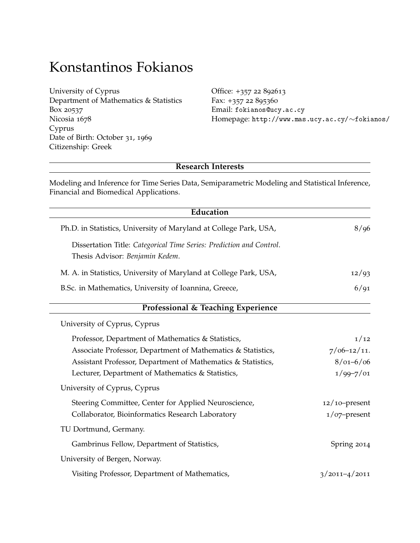# Konstantinos Fokianos

| University of Cyprus                   |
|----------------------------------------|
| Department of Mathematics & Statistics |
| Box 20537                              |
| Nicosia 1678                           |
| Cyprus                                 |
| Date of Birth: October 31, 1969        |
| Citizenship: Greek                     |
|                                        |

Office: +357 22 892613 Fax: +357 22 895360 Email: [fokianos@ucy.ac.cy](mailto:fokianos@ucy.ac.cy) Homepage: [http://www.mas.ucy.ac.cy/](http://www.mas.ucy.ac.cy/~fokianos/)∼fokianos/

# **Research Interests**

Modeling and Inference for Time Series Data, Semiparametric Modeling and Statistical Inference, Financial and Biomedical Applications.

| Education                                                                                               |                   |  |
|---------------------------------------------------------------------------------------------------------|-------------------|--|
| Ph.D. in Statistics, University of Maryland at College Park, USA,                                       | 8/96              |  |
| Dissertation Title: Categorical Time Series: Prediction and Control.<br>Thesis Advisor: Benjamin Kedem. |                   |  |
| M. A. in Statistics, University of Maryland at College Park, USA,                                       | 12/93             |  |
| B.Sc. in Mathematics, University of Ioannina, Greece,                                                   | 6/91              |  |
| Professional & Teaching Experience                                                                      |                   |  |
| University of Cyprus, Cyprus                                                                            |                   |  |
| Professor, Department of Mathematics & Statistics,                                                      | 1/12              |  |
| Associate Professor, Department of Mathematics & Statistics,                                            | $7/06 - 12/11$ .  |  |
| Assistant Professor, Department of Mathematics & Statistics,                                            | $8/01 - 6/06$     |  |
| Lecturer, Department of Mathematics & Statistics,                                                       | $1/99 - 7/01$     |  |
| University of Cyprus, Cyprus                                                                            |                   |  |
| Steering Committee, Center for Applied Neuroscience,                                                    | $12/10$ -present  |  |
| Collaborator, Bioinformatics Research Laboratory                                                        | $1$ /07-present   |  |
| TU Dortmund, Germany.                                                                                   |                   |  |
| Gambrinus Fellow, Department of Statistics,                                                             | Spring 2014       |  |
| University of Bergen, Norway.                                                                           |                   |  |
| Visiting Professor, Department of Mathematics,                                                          | $3/2011 - 4/2011$ |  |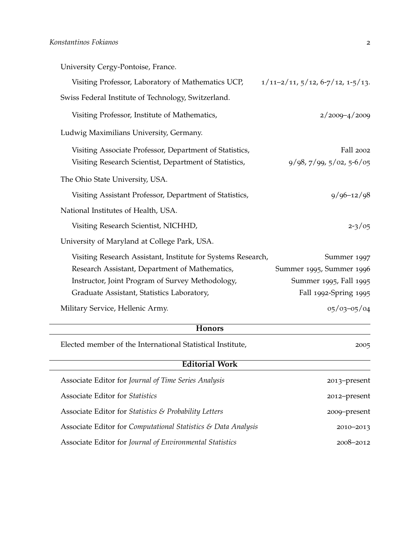University Cergy-Pontoise, France.

| Visiting Professor, Laboratory of Mathematics UCP,           | $1/11-2/11, 5/12, 6-7/12, 1-5/13.$ |
|--------------------------------------------------------------|------------------------------------|
| Swiss Federal Institute of Technology, Switzerland.          |                                    |
| Visiting Professor, Institute of Mathematics,                | $2/2009 - 4/2009$                  |
| Ludwig Maximilians University, Germany.                      |                                    |
| Visiting Associate Professor, Department of Statistics,      | Fall 2002                          |
| Visiting Research Scientist, Department of Statistics,       | $9/98, 7/99, 5/02, 5-6/05$         |
| The Ohio State University, USA.                              |                                    |
| Visiting Assistant Professor, Department of Statistics,      | $9/96 - 12/98$                     |
| National Institutes of Health, USA.                          |                                    |
| Visiting Research Scientist, NICHHD,                         | $2 - 3/05$                         |
| University of Maryland at College Park, USA.                 |                                    |
| Visiting Research Assistant, Institute for Systems Research, | Summer 1997                        |
| Research Assistant, Department of Mathematics,               | Summer 1995, Summer 1996           |
| Instructor, Joint Program of Survey Methodology,             | Summer 1995, Fall 1995             |
| Graduate Assistant, Statistics Laboratory,                   | Fall 1992-Spring 1995              |
| Military Service, Hellenic Army.                             | $05/03 - 05/04$                    |

# **Honors**

Elected member of the International Statistical Institute, 2005

| <b>Editorial Work</b>                                         |               |  |
|---------------------------------------------------------------|---------------|--|
| Associate Editor for Journal of Time Series Analysis          | 2013-present  |  |
| <b>Associate Editor for Statistics</b>                        | 2012-present  |  |
| Associate Editor for Statistics & Probability Letters         | 2009-present  |  |
| Associate Editor for Computational Statistics & Data Analysis | $2010 - 2013$ |  |
| Associate Editor for Journal of Environmental Statistics      | $2008 - 2012$ |  |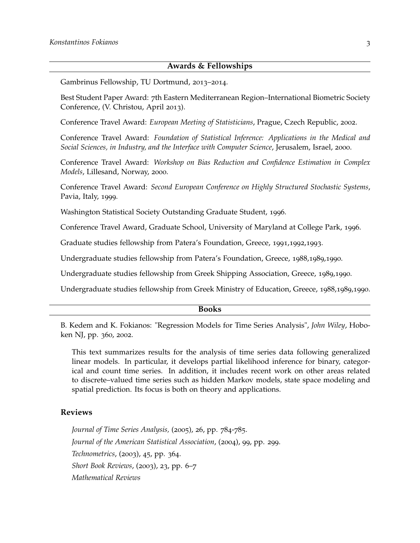## **Awards & Fellowships**

Gambrinus Fellowship, TU Dortmund, 2013–2014.

Best Student Paper Award: 7th Eastern Mediterranean Region–International Biometric Society Conference, (V. Christou, April 2013).

Conference Travel Award: *European Meeting of Statisticians*, Prague, Czech Republic, 2002.

Conference Travel Award: *Foundation of Statistical Inference: Applications in the Medical and Social Sciences, in Industry, and the Interface with Computer Science*, Jerusalem, Israel, 2000.

Conference Travel Award: *Workshop on Bias Reduction and Confidence Estimation in Complex Models*, Lillesand, Norway, 2000.

Conference Travel Award: *Second European Conference on Highly Structured Stochastic Systems*, Pavia, Italy, 1999.

Washington Statistical Society Outstanding Graduate Student, 1996.

Conference Travel Award, Graduate School, University of Maryland at College Park, 1996.

Graduate studies fellowship from Patera's Foundation, Greece, 1991,1992,1993.

Undergraduate studies fellowship from Patera's Foundation, Greece, 1988,1989,1990.

Undergraduate studies fellowship from Greek Shipping Association, Greece, 1989,1990.

Undergraduate studies fellowship from Greek Ministry of Education, Greece, 1988,1989,1990.

#### **Books**

B. Kedem and K. Fokianos: "Regression Models for Time Series Analysis", *John Wiley*, Hoboken NJ, pp. 360, 2002.

This text summarizes results for the analysis of time series data following generalized linear models. In particular, it develops partial likelihood inference for binary, categorical and count time series. In addition, it includes recent work on other areas related to discrete–valued time series such as hidden Markov models, state space modeling and spatial prediction. Its focus is both on theory and applications.

#### **Reviews**

*Journal of Time Series Analysis,* (2005), 26, pp. 784-785. *Journal of the American Statistical Association*, (2004), 99, pp. 299. *Technometrics*, (2003), 45, pp. 364. *Short Book Reviews*, (2003), 23, pp. 6–7 *Mathematical Reviews*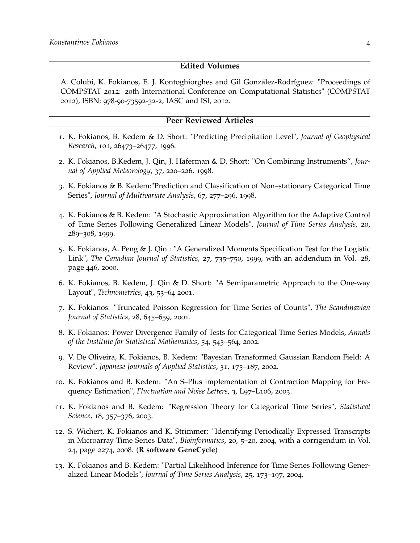#### **Edited Volumes**

A. Colubi, K. Fokianos, E. J. Kontoghiorghes and Gil González-Rodríguez: "Proceedings of COMPSTAT 2012: 20th International Conference on Computational Statistics" (COMPSTAT 2012), ISBN: 978-90-73592-32-2, IASC and ISI, 2012.

#### **Peer Reviewed Articles**

- 1. K. Fokianos, B. Kedem & D. Short: "Predicting Precipitation Level", *Journal of Geophysical Research*, 101, 26473–26477, 1996.
- 2. K. Fokianos, B.Kedem, J. Qin, J. Haferman & D. Short: "On Combining Instruments", *Journal of Applied Meteorology*, 37, 220–226, 1998.
- 3. K. Fokianos & B. Kedem:"Prediction and Classification of Non–stationary Categorical Time Series", *Journal of Multivariate Analysis*, 67, 277–296, 1998.
- 4. K. Fokianos & B. Kedem: "A Stochastic Approximation Algorithm for the Adaptive Control of Time Series Following Generalized Linear Models", *Journal of Time Series Analysis*, 20, 289–308, 1999.
- 5. K. Fokianos, A. Peng & J. Qin : "A Generalized Moments Specification Test for the Logistic Link", *The Canadian Journal of Statistics*, 27, 735–750, 1999, with an addendum in Vol. 28, page 446, 2000.
- 6. K. Fokianos, B. Kedem, J. Qin & D. Short: "A Semiparametric Approach to the One-way Layout", *Technometrics*, 43, 53–64 2001.
- 7. K. Fokianos: "Truncated Poisson Regression for Time Series of Counts", *The Scandinavian Journal of Statistics*, 28, 645–659, 2001.
- 8. K. Fokianos: Power Divergence Family of Tests for Categorical Time Series Models, *Annals of the Institute for Statistical Mathematics*, 54, 543–564, 2002.
- 9. V. De Oliveira, K. Fokianos, B. Kedem: "Bayesian Transformed Gaussian Random Field: A Review", *Japanese Journals of Applied Statistics*, 31, 175–187, 2002.
- 10. K. Fokianos and B. Kedem: "An S–Plus implementation of Contraction Mapping for Frequency Estimation", *Fluctuation and Noise Letters*, 3, L97–L106, 2003.
- 11. K. Fokianos and B. Kedem: "Regression Theory for Categorical Time Series", *Statistical Science*, 18, 357–376, 2003.
- 12. S. Wichert, K. Fokianos and K. Strimmer: "Identifying Periodically Expressed Transcripts in Microarray Time Series Data", *Bioinformatics*, 20, 5–20, 2004, with a corrigendum in Vol. 24, page 2274, 2008. (**R software GeneCycle**)
- 13. K. Fokianos and B. Kedem: "Partial Likelihood Inference for Time Series Following Generalized Linear Models", *Journal of Time Series Analysis*, 25, 173–197, 2004.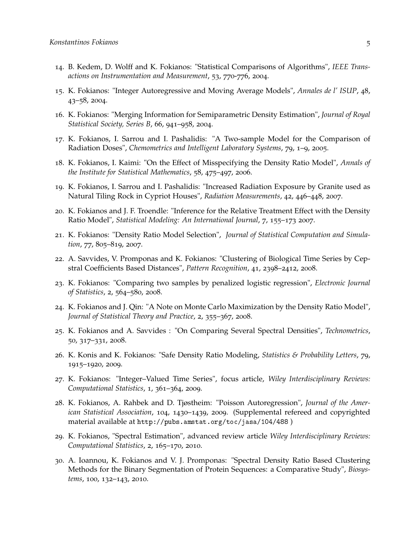- 14. B. Kedem, D. Wolff and K. Fokianos: "Statistical Comparisons of Algorithms", *IEEE Transactions on Instrumentation and Measurement*, 53, 770-776, 2004.
- 15. K. Fokianos: "Integer Autoregressive and Moving Average Models", *Annales de l' ISUP*, 48, 43–58, 2004.
- 16. K. Fokianos: "Merging Information for Semiparametric Density Estimation", *Journal of Royal Statistical Society, Series B*, 66, 941–958, 2004.
- 17. K. Fokianos, I. Sarrou and I. Pashalidis: "A Two-sample Model for the Comparison of Radiation Doses", *Chemometrics and Intelligent Laboratory Systems*, 79, 1–9, 2005.
- 18. K. Fokianos, I. Kaimi: "On the Effect of Misspecifying the Density Ratio Model", *Annals of the Institute for Statistical Mathematics*, 58, 475–497, 2006.
- 19. K. Fokianos, I. Sarrou and I. Pashalidis: "Increased Radiation Exposure by Granite used as Natural Tiling Rock in Cypriot Houses", *Radiation Measurements*, 42, 446–448, 2007.
- 20. K. Fokianos and J. F. Troendle: "Inference for the Relative Treatment Effect with the Density Ratio Model", *Statistical Modeling: An International Journal*, 7, 155–173 2007.
- 21. K. Fokianos: "Density Ratio Model Selection", *Journal of Statistical Computation and Simulation*, 77, 805–819, 2007.
- 22. A. Savvides, V. Promponas and K. Fokianos: "Clustering of Biological Time Series by Cepstral Coefficients Based Distances", *Pattern Recognition*, 41, 2398–2412, 2008.
- 23. K. Fokianos: "Comparing two samples by penalized logistic regression", *Electronic Journal of Statistics*, 2, 564–580, 2008.
- 24. K. Fokianos and J. Qin: "A Note on Monte Carlo Maximization by the Density Ratio Model", *Journal of Statistical Theory and Practice*, 2, 355–367, 2008.
- 25. K. Fokianos and A. Savvides : "On Comparing Several Spectral Densities", *Technometrics*, 50, 317–331, 2008.
- 26. K. Konis and K. Fokianos: "Safe Density Ratio Modeling, *Statistics & Probability Letters*, 79, 1915–1920, 2009.
- 27. K. Fokianos: "Integer–Valued Time Series", focus article, *Wiley Interdisciplinary Reviews: Computational Statistics*, 1, 361–364, 2009.
- 28. K. Fokianos, A. Rahbek and D. Tjøstheim: "Poisson Autoregression", *Journal of the American Statistical Association*, 104, 1430–1439, 2009. (Supplemental refereed and copyrighted material available at <http://pubs.amstat.org/toc/jasa/104/488> )
- 29. K. Fokianos, "Spectral Estimation", advanced review article *Wiley Interdisciplinary Reviews: Computational Statistics*, 2, 165–170, 2010.
- 30. A. Ioannou, K. Fokianos and V. J. Promponas: "Spectral Density Ratio Based Clustering Methods for the Binary Segmentation of Protein Sequences: a Comparative Study", *Biosystems*, 100, 132–143, 2010.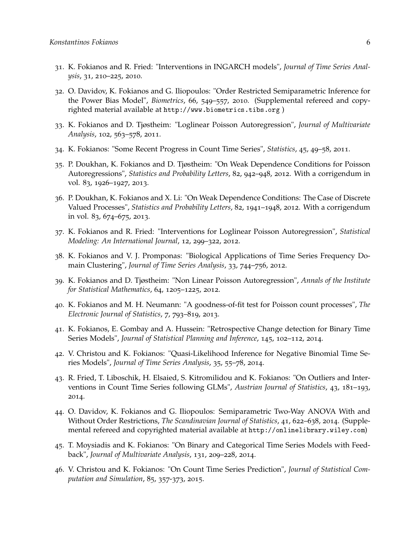- 31. K. Fokianos and R. Fried: "Interventions in INGARCH models", *Journal of Time Series Analysis*, 31, 210–225, 2010.
- 32. O. Davidov, K. Fokianos and G. Iliopoulos: "Order Restricted Semiparametric Inference for the Power Bias Model", *Biometrics*, 66, 549–557, 2010. (Supplemental refereed and copyrighted material available at <http://www.biometrics.tibs.org> )
- 33. K. Fokianos and D. Tjøstheim: "Loglinear Poisson Autoregression", *Journal of Multivariate Analysis*, 102, 563–578, 2011.
- 34. K. Fokianos: "Some Recent Progress in Count Time Series", *Statistics*, 45, 49–58, 2011.
- 35. P. Doukhan, K. Fokianos and D. Tjøstheim: "On Weak Dependence Conditions for Poisson Autoregressions", *Statistics and Probability Letters*, 82, 942–948, 2012. With a corrigendum in vol. 83, 1926–1927, 2013.
- 36. P. Doukhan, K. Fokianos and X. Li: "On Weak Dependence Conditions: The Case of Discrete Valued Processes", *Statistics and Probability Letters*, 82, 1941–1948, 2012. With a corrigendum in vol. 83, 674–675, 2013.
- 37. K. Fokianos and R. Fried: "Interventions for Loglinear Poisson Autoregression", *Statistical Modeling: An International Journal*, 12, 299–322, 2012.
- 38. K. Fokianos and V. J. Promponas: "Biological Applications of Time Series Frequency Domain Clustering", *Journal of Time Series Analysis*, 33, 744–756, 2012.
- 39. K. Fokianos and D. Tjøstheim: "Non Linear Poisson Autoregression", *Annals of the Institute for Statistical Mathematics*, 64, 1205–1225, 2012.
- 40. K. Fokianos and M. H. Neumann: "A goodness-of-fit test for Poisson count processes", *The Electronic Journal of Statistics*, 7, 793–819, 2013.
- 41. K. Fokianos, E. Gombay and A. Hussein: "Retrospective Change detection for Binary Time Series Models", *Journal of Statistical Planning and Inference*, 145, 102–112, 2014.
- 42. V. Christou and K. Fokianos: "Quasi-Likelihood Inference for Negative Binomial Time Series Models", *Journal of Time Series Analysis*, 35, 55–78, 2014.
- 43. R. Fried, T. Liboschik, H. Elsaied, S. Kitromilidou and K. Fokianos: "On Outliers and Interventions in Count Time Series following GLMs", *Austrian Journal of Statistics*, 43, 181–193, 2014.
- 44. O. Davidov, K. Fokianos and G. Iliopoulos: Semiparametric Two-Way ANOVA With and Without Order Restrictions, *The Scandinavian Journal of Statistics*, 41, 622–638, 2014. (Supplemental refereed and copyrighted material available at <http://onlinelibrary.wiley.com>)
- 45. T. Moysiadis and K. Fokianos: "On Binary and Categorical Time Series Models with Feedback", *Journal of Multivariate Analysis*, 131, 209–228, 2014.
- 46. V. Christou and K. Fokianos: "On Count Time Series Prediction", *Journal of Statistical Computation and Simulation*, 85, 357-373, 2015.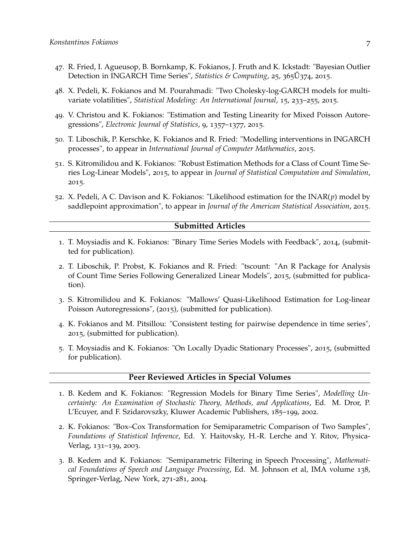- 47. R. Fried, I. Agueusop, B. Bornkamp, K. Fokianos, J. Fruth and K. Ickstadt: "Bayesian Outlier Detection in INGARCH Time Series", *Statistics & Computing*, 25, 365 U<sup>374</sup>, 2015.
- 48. X. Pedeli, K. Fokianos and M. Pourahmadi: "Two Cholesky-log-GARCH models for multivariate volatilities", *Statistical Modeling: An International Journal*, 15, 233–255, 2015.
- 49. V. Christou and K. Fokianos: "Estimation and Testing Linearity for Mixed Poisson Autoregressions", *Electronic Journal of Statistics*, 9, 1357–1377, 2015.
- 50. T. Liboschik, P. Kerschke, K. Fokianos and R. Fried: "Modelling interventions in INGARCH processes", to appear in *International Journal of Computer Mathematics*, 2015.
- 51. S. Kitromilidou and K. Fokianos: "Robust Estimation Methods for a Class of Count Time Series Log-Linear Models", 2015, to appear in *Journal of Statistical Computation and Simulation*, 2015.
- 52. X. Pedeli, A C. Davison and K. Fokianos: "Likelihood estimation for the INAR(*p*) model by saddlepoint approximation", to appear in *Journal of the American Statistical Association*, 2015.

#### **Submitted Articles**

- 1. T. Moysiadis and K. Fokianos: "Binary Time Series Models with Feedback", 2014, (submitted for publication).
- 2. T. Liboschik, P. Probst, K. Fokianos and R. Fried: "tscount: "An R Package for Analysis of Count Time Series Following Generalized Linear Models", 2015, (submitted for publication).
- 3. S. Kitromilidou and K. Fokianos: "Mallows' Quasi-Likelihood Estimation for Log-linear Poisson Autoregressions", (2015), (submitted for publication).
- 4. K. Fokianos and M. Pitsillou: "Consistent testing for pairwise dependence in time series", 2015, (submitted for publication).
- 5. T. Moysiadis and K. Fokianos: "On Locally Dyadic Stationary Processes", 2015, (submitted for publication).

#### **Peer Reviewed Articles in Special Volumes**

- 1. B. Kedem and K. Fokianos: "Regression Models for Binary Time Series", *Modelling Uncertainty: An Examination of Stochastic Theory, Methods, and Applications*, Ed. M. Dror, P. L'Ecuyer, and F. Szidarovszky, Kluwer Academic Publishers, 185–199, 2002.
- 2. K. Fokianos: "Box–Cox Transformation for Semiparametric Comparison of Two Samples", *Foundations of Statistical Inference*, Ed. Y. Haitovsky, H.-R. Lerche and Y. Ritov, Physica-Verlag, 131–139, 2003.
- 3. B. Kedem and K. Fokianos: "Semiparametric Filtering in Speech Processing", *Mathematical Foundations of Speech and Language Processing*, Ed. M. Johnson et al, IMA volume 138, Springer-Verlag, New York, 271-281, 2004.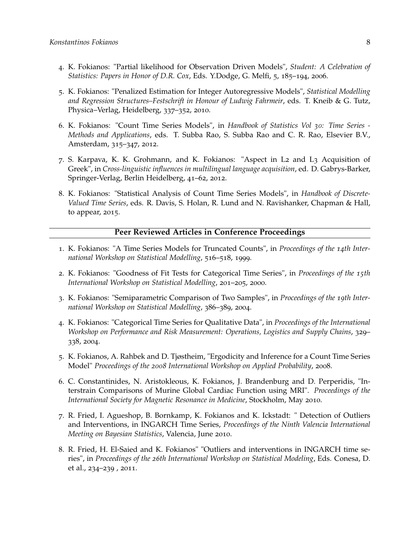- 4. K. Fokianos: "Partial likelihood for Observation Driven Models", *Student: A Celebration of Statistics: Papers in Honor of D.R. Cox*, Eds. Y.Dodge, G. Melfi, 5, 185–194, 2006.
- 5. K. Fokianos: "Penalized Estimation for Integer Autoregressive Models", *Statistical Modelling and Regression Structures–Festschrift in Honour of Ludwig Fahrmeir*, eds. T. Kneib & G. Tutz, Physica–Verlag, Heidelberg, 337–352, 2010.
- 6. K. Fokianos: "Count Time Series Models", in *Handbook of Statistics Vol 30: Time Series - Methods and Applications*, eds. T. Subba Rao, S. Subba Rao and C. R. Rao, Elsevier B.V., Amsterdam, 315–347, 2012.
- 7. S. Karpava, K. K. Grohmann, and K. Fokianos: "Aspect in L2 and L3 Acquisition of Greek", in *Cross-linguistic influences in multilingual language acquisition*, ed. D. Gabrys-Barker, Springer-Verlag, Berlin Heidelberg, 41–62, 2012.
- 8. K. Fokianos: "Statistical Analysis of Count Time Series Models", in *Handbook of Discrete-Valued Time Series*, eds. R. Davis, S. Holan, R. Lund and N. Ravishanker, Chapman & Hall, to appear, 2015.

## **Peer Reviewed Articles in Conference Proceedings**

- 1. K. Fokianos: "A Time Series Models for Truncated Counts", in *Proceedings of the 14th International Workshop on Statistical Modelling*, 516–518, 1999.
- 2. K. Fokianos: "Goodness of Fit Tests for Categorical Time Series", in *Proceedings of the 15th International Workshop on Statistical Modelling*, 201–205, 2000.
- 3. K. Fokianos: "Semiparametric Comparison of Two Samples", in *Proceedings of the 19th International Workshop on Statistical Modelling*, 386–389, 2004.
- 4. K. Fokianos: "Categorical Time Series for Qualitative Data", in *Proceedings of the International Workshop on Performance and Risk Measurement: Operations, Logistics and Supply Chains*, 329– 338, 2004.
- 5. K. Fokianos, A. Rahbek and D. Tjøstheim, "Ergodicity and Inference for a Count Time Series Model" *Proceedings of the 2008 International Workshop on Applied Probability*, 2008.
- 6. C. Constantinides, N. Aristokleous, K. Fokianos, J. Brandenburg and D. Perperidis, "Interstrain Comparisons of Murine Global Cardiac Function using MRI". *Proceedings of the International Society for Magnetic Resonance in Medicine*, Stockholm, May 2010.
- 7. R. Fried, I. Agueshop, B. Bornkamp, K. Fokianos and K. Ickstadt: " Detection of Outliers and Interventions, in INGARCH Time Series, *Proceedings of the Ninth Valencia International Meeting on Bayesian Statistics*, Valencia, June 2010.
- 8. R. Fried, H. El-Saied and K. Fokianos" "Outliers and interventions in INGARCH time series", in *Proceedings of the 26th International Workshop on Statistical Modeling*, Eds. Conesa, D. et al., 234–239 , 2011.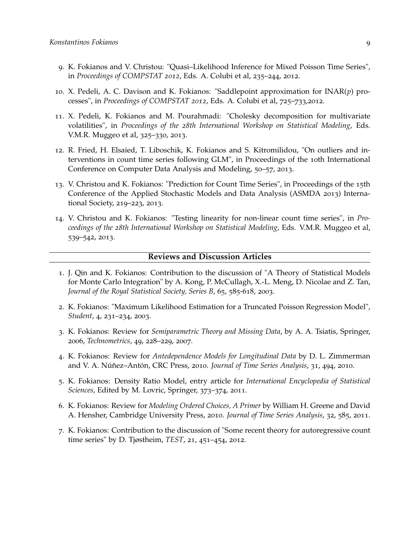- 9. K. Fokianos and V. Christou: "Quasi–Likelihood Inference for Mixed Poisson Time Series", in *Proceedings of COMPSTAT 2012*, Eds. A. Colubi et al, 235–244, 2012.
- 10. X. Pedeli, A. C. Davison and K. Fokianos: "Saddlepoint approximation for INAR(*p*) processes", in *Proceedings of COMPSTAT 2012*, Eds. A. Colubi et al, 725–733,2012.
- 11. X. Pedeli, K. Fokianos and M. Pourahmadi: "Cholesky decomposition for multivariate volatilities", in *Proceedings of the 28th International Workshop on Statistical Modeling*, Eds. V.M.R. Muggeo et al, 325–330, 2013.
- 12. R. Fried, H. Elsaied, T. Liboschik, K. Fokianos and S. Kitromilidou, "On outliers and interventions in count time series following GLM", in Proceedings of the 10th International Conference on Computer Data Analysis and Modeling, 50–57, 2013.
- 13. V. Christou and K. Fokianos: "Prediction for Count Time Series", in Proceedings of the 15th Conference of the Applied Stochastic Models and Data Analysis (ASMDA 2013) International Society, 219–223, 2013.
- 14. V. Christou and K. Fokianos: "Testing linearity for non-linear count time series", in *Proceedings of the 28th International Workshop on Statistical Modeling*, Eds. V.M.R. Muggeo et al, 539–542, 2013.

#### **Reviews and Discussion Articles**

- 1. J. Qin and K. Fokianos: Contribution to the discussion of "A Theory of Statistical Models for Monte Carlo Integration" by A. Kong, P. McCullagh, X.-L. Meng, D. Nicolae and Z. Tan, *Journal of the Royal Statistical Society, Series B*, 65, 585-618, 2003.
- 2. K. Fokianos: "Maximum Likelihood Estimation for a Truncated Poisson Regression Model", *Student*, 4, 231–234, 2003.
- 3. K. Fokianos: Review for *Semiparametric Theory and Missing Data*, by A. A. Tsiatis, Springer, 2006, *Technometrics*, 49, 228–229, 2007.
- 4. K. Fokianos: Review for *Antedependence Models for Longitudinal Data* by D. L. Zimmerman and V. A. Núñez–Antón, CRC Press, 2010. *Journal of Time Series Analysis*, 31, 494, 2010.
- 5. K. Fokianos: Density Ratio Model, entry article for *International Encyclopedia of Statistical Sciences*, Edited by M. Lovric, Springer, 373–374, 2011.
- 6. K. Fokianos: Review for *Modeling Ordered Choices, A Primer* by William H. Greene and David A. Hensher, Cambridge University Press, 2010. *Journal of Time Series Analysis*, 32, 585, 2011.
- 7. K. Fokianos: Contribution to the discussion of "Some recent theory for autoregressive count time series" by D. Tjøstheim, *TEST*, 21, 451–454, 2012.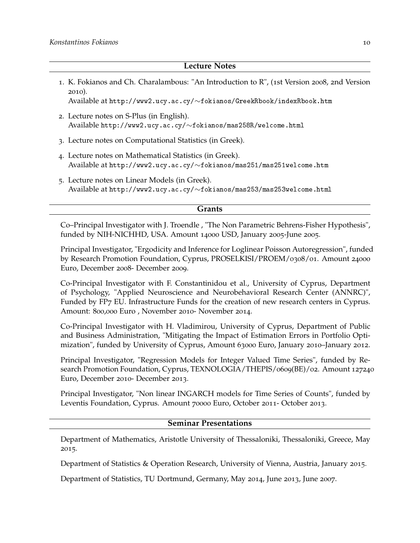#### **Lecture Notes**

1. K. Fokianos and Ch. Charalambous: "An Introduction to R", (1st Version 2008, 2nd Version 2010).

Available at http://www2.ucy.ac.cy/∼[fokianos/GreekRbook/indexRbook.htm](http://www2.ucy.ac.cy/~fokianos/GreekRbook/indexRbook.htm)

- 2. Lecture notes on S-Plus (in English). Available http://www2.ucy.ac.cy/∼[fokianos/mas258R/welcome.html](http://www2.ucy.ac.cy/~fokianos/mas258R/welcome.html)
- 3. Lecture notes on Computational Statistics (in Greek).
- 4. Lecture notes on Mathematical Statistics (in Greek). Available at http://www2.ucy.ac.cy/∼[fokianos/mas251/mas251welcome.htm](http://www2.ucy.ac.cy/~fokianos/mas251/mas251welcome.htm)
- 5. Lecture notes on Linear Models (in Greek). Available at http://www2.ucy.ac.cy/∼[fokianos/mas253/mas253welcome.html](http://www2.ucy.ac.cy/~fokianos/mas253/mas253welcome.htm)

#### **Grants**

Co–Principal Investigator with J. Troendle , "The Non Parametric Behrens-Fisher Hypothesis", funded by NIH-NICHHD, USA. Amount 14000 USD, January 2005-June 2005.

Principal Investigator, "Ergodicity and Inference for Loglinear Poisson Autoregression", funded by Research Promotion Foundation, Cyprus, PROSELKISI/PROEM/0308/01. Amount 24000 Euro, December 2008- December 2009.

Co-Principal Investigator with F. Constantinidou et al., University of Cyprus, Department of Psychology, "Applied Neuroscience and Neurobehavioral Research Center (ANNRC)", Funded by FP7 EU. Infrastructure Funds for the creation of new research centers in Cyprus. Amount: 800,000 Euro , November 2010- November 2014.

Co-Principal Investigator with H. Vladimirou, University of Cyprus, Department of Public and Business Administration, "Mitigating the Impact of Estimation Errors in Portfolio Optimization", funded by University of Cyprus, Amount 63000 Euro, January 2010–January 2012.

Principal Investigator, "Regression Models for Integer Valued Time Series", funded by Research Promotion Foundation, Cyprus, TEXNOLOGIA/THEPIS/0609(BE)/02. Amount 127240 Euro, December 2010- December 2013.

Principal Investigator, "Non linear INGARCH models for Time Series of Counts", funded by Leventis Foundation, Cyprus. Amount 70000 Euro, October 2011- October 2013.

## **Seminar Presentations**

Department of Mathematics, Aristotle University of Thessaloniki, Thessaloniki, Greece, May 2015.

Department of Statistics & Operation Research, University of Vienna, Austria, January 2015.

Department of Statistics, TU Dortmund, Germany, May 2014, June 2013, June 2007.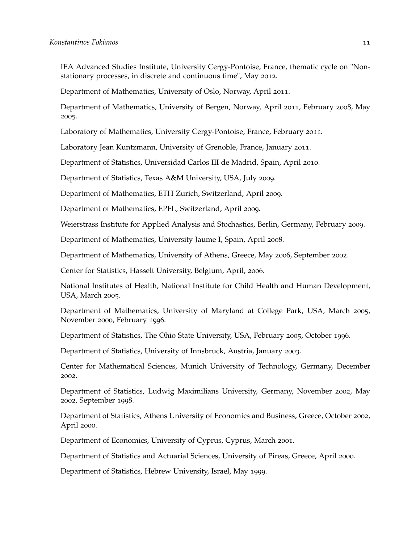IEA Advanced Studies Institute, University Cergy-Pontoise, France, thematic cycle on "Nonstationary processes, in discrete and continuous time", May 2012.

Department of Mathematics, University of Oslo, Norway, April 2011.

Department of Mathematics, University of Bergen, Norway, April 2011, February 2008, May 2005.

Laboratory of Mathematics, University Cergy-Pontoise, France, February 2011.

Laboratory Jean Kuntzmann, University of Grenoble, France, January 2011.

Department of Statistics, Universidad Carlos III de Madrid, Spain, April 2010.

Department of Statistics, Texas A&M University, USA, July 2009.

Department of Mathematics, ETH Zurich, Switzerland, April 2009.

Department of Mathematics, EPFL, Switzerland, April 2009.

Weierstrass Institute for Applied Analysis and Stochastics, Berlin, Germany, February 2009.

Department of Mathematics, University Jaume I, Spain, April 2008.

Department of Mathematics, University of Athens, Greece, May 2006, September 2002.

Center for Statistics, Hasselt University, Belgium, April, 2006.

National Institutes of Health, National Institute for Child Health and Human Development, USA, March 2005.

Department of Mathematics, University of Maryland at College Park, USA, March 2005, November 2000, February 1996.

Department of Statistics, The Ohio State University, USA, February 2005, October 1996.

Department of Statistics, University of Innsbruck, Austria, January 2003.

Center for Mathematical Sciences, Munich University of Technology, Germany, December 2002.

Department of Statistics, Ludwig Maximilians University, Germany, November 2002, May 2002, September 1998.

Department of Statistics, Athens University of Economics and Business, Greece, October 2002, April 2000.

Department of Economics, University of Cyprus, Cyprus, March 2001.

Department of Statistics and Actuarial Sciences, University of Pireas, Greece, April 2000.

Department of Statistics, Hebrew University, Israel, May 1999.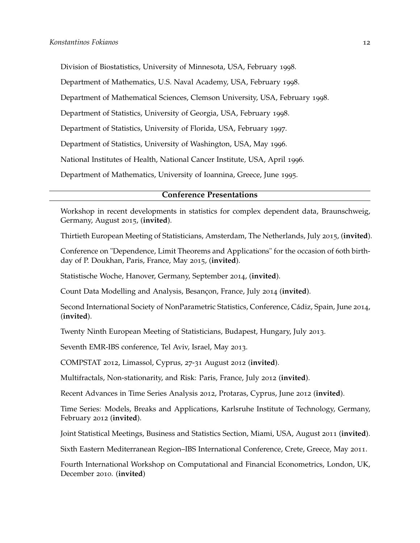Division of Biostatistics, University of Minnesota, USA, February 1998.

Department of Mathematics, U.S. Naval Academy, USA, February 1998.

Department of Mathematical Sciences, Clemson University, USA, February 1998.

Department of Statistics, University of Georgia, USA, February 1998.

Department of Statistics, University of Florida, USA, February 1997.

Department of Statistics, University of Washington, USA, May 1996.

National Institutes of Health, National Cancer Institute, USA, April 1996.

Department of Mathematics, University of Ioannina, Greece, June 1995.

### **Conference Presentations**

Workshop in recent developments in statistics for complex dependent data, Braunschweig, Germany, August 2015, (**invited**).

Thirtieth European Meeting of Statisticians, Amsterdam, The Netherlands, July 2015, (**invited**).

Conference on "Dependence, Limit Theorems and Applications" for the occasion of 60th birthday of P. Doukhan, Paris, France, May 2015, (**invited**).

Statistische Woche, Hanover, Germany, September 2014, (**invited**).

Count Data Modelling and Analysis, Besançon, France, July 2014 (**invited**).

Second International Society of NonParametric Statistics, Conference, Cádiz, Spain, June 2014, (**invited**).

Twenty Ninth European Meeting of Statisticians, Budapest, Hungary, July 2013.

Seventh EMR-IBS conference, Tel Aviv, Israel, May 2013.

COMPSTAT 2012, Limassol, Cyprus, 27-31 August 2012 (**invited**).

Multifractals, Non-stationarity, and Risk: Paris, France, July 2012 (**invited**).

Recent Advances in Time Series Analysis 2012, Protaras, Cyprus, June 2012 (**invited**).

Time Series: Models, Breaks and Applications, Karlsruhe Institute of Technology, Germany, February 2012 (**invited**).

Joint Statistical Meetings, Business and Statistics Section, Miami, USA, August 2011 (**invited**).

Sixth Eastern Mediterranean Region–IBS International Conference, Crete, Greece, May 2011.

Fourth International Workshop on Computational and Financial Econometrics, London, UK, December 2010. (**invited**)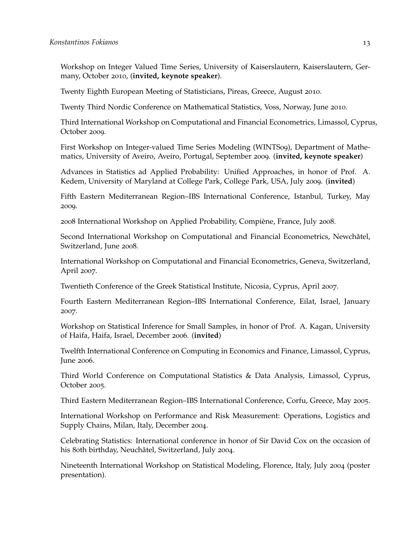Workshop on Integer Valued Time Series, University of Kaiserslautern, Kaiserslautern, Germany, October 2010, (**invited, keynote speaker**).

Twenty Eighth European Meeting of Statisticians, Pireas, Greece, August 2010.

Twenty Third Nordic Conference on Mathematical Statistics, Voss, Norway, June 2010.

Third International Workshop on Computational and Financial Econometrics, Limassol, Cyprus, October 2009.

First Workshop on Integer-valued Time Series Modeling (WINTS09), Department of Mathematics, University of Aveiro, Aveiro, Portugal, September 2009. (**invited, keynote speaker**)

Advances in Statistics ad Applied Probability: Unified Approaches, in honor of Prof. A. Kedem, University of Maryland at College Park, College Park, USA, July 2009. (**invited**)

Fifth Eastern Mediterranean Region–IBS International Conference, Istanbul, Turkey, May 2009.

2008 International Workshop on Applied Probability, Compiène, France, July 2008.

Second International Workshop on Computational and Financial Econometrics, Newchâtel, Switzerland, June 2008.

International Workshop on Computational and Financial Econometrics, Geneva, Switzerland, April 2007.

Twentieth Conference of the Greek Statistical Institute, Nicosia, Cyprus, April 2007.

Fourth Eastern Mediterranean Region–IBS International Conference, Eilat, Israel, January 2007.

Workshop on Statistical Inference for Small Samples, in honor of Prof. A. Kagan, University of Haifa, Haifa, Israel, December 2006. (**invited**)

Twelfth International Conference on Computing in Economics and Finance, Limassol, Cyprus, June 2006.

Third World Conference on Computational Statistics & Data Analysis, Limassol, Cyprus, October 2005.

Third Eastern Mediterranean Region–IBS International Conference, Corfu, Greece, May 2005.

International Workshop on Performance and Risk Measurement: Operations, Logistics and Supply Chains, Milan, Italy, December 2004.

Celebrating Statistics: International conference in honor of Sir David Cox on the occasion of his 80th birthday, Neuchâtel, Switzerland, July 2004.

Nineteenth International Workshop on Statistical Modeling, Florence, Italy, July 2004 (poster presentation).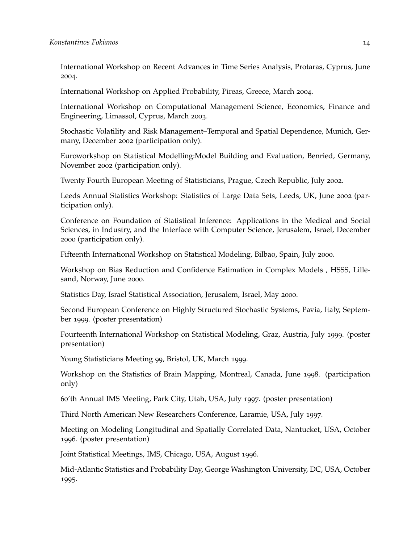International Workshop on Recent Advances in Time Series Analysis, Protaras, Cyprus, June 2004.

International Workshop on Applied Probability, Pireas, Greece, March 2004.

International Workshop on Computational Management Science, Economics, Finance and Engineering, Limassol, Cyprus, March 2003.

Stochastic Volatility and Risk Management–Temporal and Spatial Dependence, Munich, Germany, December 2002 (participation only).

Euroworkshop on Statistical Modelling:Model Building and Evaluation, Benried, Germany, November 2002 (participation only).

Twenty Fourth European Meeting of Statisticians, Prague, Czech Republic, July 2002.

Leeds Annual Statistics Workshop: Statistics of Large Data Sets, Leeds, UK, June 2002 (participation only).

Conference on Foundation of Statistical Inference: Applications in the Medical and Social Sciences, in Industry, and the Interface with Computer Science, Jerusalem, Israel, December 2000 (participation only).

Fifteenth International Workshop on Statistical Modeling, Bilbao, Spain, July 2000.

Workshop on Bias Reduction and Confidence Estimation in Complex Models , HSSS, Lillesand, Norway, June 2000.

Statistics Day, Israel Statistical Association, Jerusalem, Israel, May 2000.

Second European Conference on Highly Structured Stochastic Systems, Pavia, Italy, September 1999. (poster presentation)

Fourteenth International Workshop on Statistical Modeling, Graz, Austria, July 1999. (poster presentation)

Young Statisticians Meeting 99, Bristol, UK, March 1999.

Workshop on the Statistics of Brain Mapping, Montreal, Canada, June 1998. (participation only)

60'th Annual IMS Meeting, Park City, Utah, USA, July 1997. (poster presentation)

Third North American New Researchers Conference, Laramie, USA, July 1997.

Meeting on Modeling Longitudinal and Spatially Correlated Data, Nantucket, USA, October 1996. (poster presentation)

Joint Statistical Meetings, IMS, Chicago, USA, August 1996.

Mid-Atlantic Statistics and Probability Day, George Washington University, DC, USA, October 1995.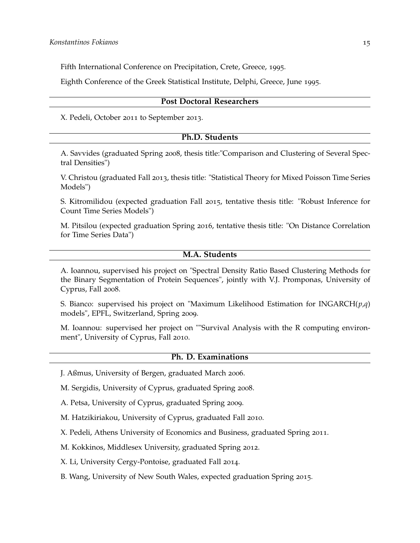Fifth International Conference on Precipitation, Crete, Greece, 1995.

Eighth Conference of the Greek Statistical Institute, Delphi, Greece, June 1995.

#### **Post Doctoral Researchers**

X. Pedeli, October 2011 to September 2013.

## **Ph.D. Students**

A. Savvides (graduated Spring 2008, thesis title:"Comparison and Clustering of Several Spectral Densities")

V. Christou (graduated Fall 2013, thesis title: "Statistical Theory for Mixed Poisson Time Series Models")

S. Kitromilidou (expected graduation Fall 2015, tentative thesis title: "Robust Inference for Count Time Series Models")

M. Pitsilou (expected graduation Spring 2016, tentative thesis title: "On Distance Correlation for Time Series Data")

## **M.A. Students**

A. Ioannou, supervised his project on "Spectral Density Ratio Based Clustering Methods for the Binary Segmentation of Protein Sequences", jointly with V.J. Promponas, University of Cyprus, Fall 2008.

S. Bianco: supervised his project on "Maximum Likelihood Estimation for INGARCH(*p*,*q*) models", EPFL, Switzerland, Spring 2009.

M. Ioannou: supervised her project on ""Survival Analysis with the R computing environment", University of Cyprus, Fall 2010.

#### **Ph. D. Examinations**

J. Aßmus, University of Bergen, graduated March 2006.

M. Sergidis, University of Cyprus, graduated Spring 2008.

A. Petsa, University of Cyprus, graduated Spring 2009.

M. Hatzikiriakou, University of Cyprus, graduated Fall 2010.

X. Pedeli, Athens University of Economics and Business, graduated Spring 2011.

M. Kokkinos, Middlesex University, graduated Spring 2012.

X. Li, University Cergy-Pontoise, graduated Fall 2014.

B. Wang, University of New South Wales, expected graduation Spring 2015.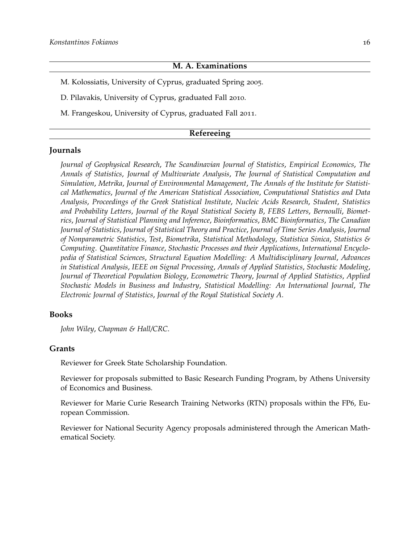## **M. A. Examinations**

M. Kolossiatis, University of Cyprus, graduated Spring 2005.

D. Pilavakis, University of Cyprus, graduated Fall 2010.

M. Frangeskou, University of Cyprus, graduated Fall 2011.

#### **Refereeing**

## **Journals**

*Journal of Geophysical Research*, *The Scandinavian Journal of Statistics*, *Empirical Economics*, *The Annals of Statistics*, *Journal of Multivariate Analysis*, *The Journal of Statistical Computation and Simulation*, *Metrika*, *Journal of Environmental Management*, *The Annals of the Institute for Statistical Mathematics*, *Journal of the American Statistical Association*, *Computational Statistics and Data Analysis*, *Proceedings of the Greek Statistical Institute*, *Nucleic Acids Research*, *Student*, *Statistics and Probability Letters*, *Journal of the Royal Statistical Society B*, *FEBS Letters*, *Bernoulli*, *Biometrics*, *Journal of Statistical Planning and Inference*, *Bioinformatics*, *BMC Bioinformatics*, *The Canadian Journal of Statistics*, *Journal of Statistical Theory and Practice*, *Journal of Time Series Analysis*, *Journal of Nonparametric Statistics*, *Test*, *Biometrika*, *Statistical Methodology*, *Statistica Sinica*, *Statistics & Computing*. *Quantitative Finance*, *Stochastic Processes and their Applications*, *International Encyclopedia of Statistical Sciences*, *Structural Equation Modelling: A Multidisciplinary Journal*, *Advances in Statistical Analysis*, *IEEE on Signal Processing*, *Annals of Applied Statistics*, *Stochastic Modeling*, *Journal of Theoretical Population Biology*, *Econometric Theory*, *Journal of Applied Statistics*, *Applied Stochastic Models in Business and Industry*, *Statistical Modelling: An International Journal*, *The Electronic Journal of Statistics*, *Journal of the Royal Statistical Society A*.

## **Books**

*John Wiley*, *Chapman & Hall/CRC*.

#### **Grants**

Reviewer for Greek State Scholarship Foundation.

Reviewer for proposals submitted to Basic Research Funding Program, by Athens University of Economics and Business.

Reviewer for Marie Curie Research Training Networks (RTN) proposals within the FP6, European Commission.

Reviewer for National Security Agency proposals administered through the American Mathematical Society.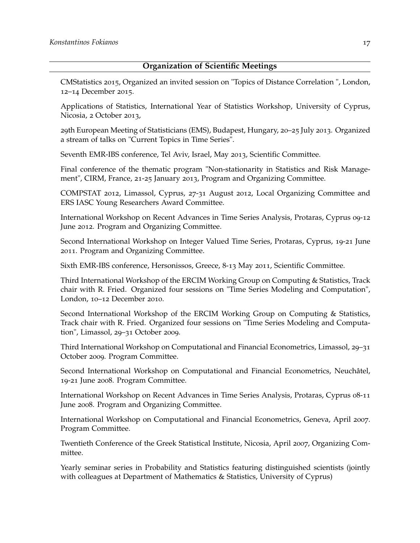# **Organization of Scientific Meetings**

CMStatistics 2015, Organized an invited session on "Topics of Distance Correlation ", London, 12–14 December 2015.

Applications of Statistics, International Year of Statistics Workshop, University of Cyprus, Nicosia, 2 October 2013,

29th European Meeting of Statisticians (EMS), Budapest, Hungary, 20–25 July 2013. Organized a stream of talks on "Current Topics in Time Series".

Seventh EMR-IBS conference, Tel Aviv, Israel, May 2013, Scientific Committee.

Final conference of the thematic program "Non-stationarity in Statistics and Risk Management", CIRM, France, 21-25 January 2013, Program and Organizing Committee.

COMPSTAT 2012, Limassol, Cyprus, 27-31 August 2012, Local Organizing Committee and ERS IASC Young Researchers Award Committee.

International Workshop on Recent Advances in Time Series Analysis, Protaras, Cyprus 09-12 June 2012. Program and Organizing Committee.

Second International Workshop on Integer Valued Time Series, Protaras, Cyprus, 19-21 June 2011. Program and Organizing Committee.

Sixth EMR-IBS conference, Hersonissos, Greece, 8-13 May 2011, Scientific Committee.

Third International Workshop of the ERCIM Working Group on Computing & Statistics, Track chair with R. Fried. Organized four sessions on "Time Series Modeling and Computation", London, 10–12 December 2010.

Second International Workshop of the ERCIM Working Group on Computing & Statistics, Track chair with R. Fried. Organized four sessions on "Time Series Modeling and Computation", Limassol, 29–31 October 2009.

Third International Workshop on Computational and Financial Econometrics, Limassol, 29–31 October 2009. Program Committee.

Second International Workshop on Computational and Financial Econometrics, Neuchâtel, 19-21 June 2008. Program Committee.

International Workshop on Recent Advances in Time Series Analysis, Protaras, Cyprus 08-11 June 2008. Program and Organizing Committee.

International Workshop on Computational and Financial Econometrics, Geneva, April 2007. Program Committee.

Twentieth Conference of the Greek Statistical Institute, Nicosia, April 2007, Organizing Committee.

Yearly seminar series in Probability and Statistics featuring distinguished scientists (jointly with colleagues at Department of Mathematics & Statistics, University of Cyprus)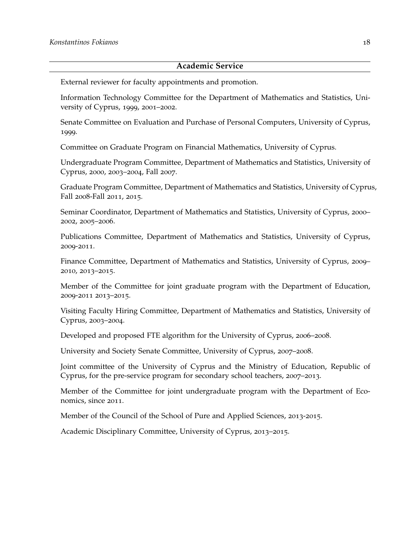#### **Academic Service**

External reviewer for faculty appointments and promotion.

Information Technology Committee for the Department of Mathematics and Statistics, University of Cyprus, 1999, 2001–2002.

Senate Committee on Evaluation and Purchase of Personal Computers, University of Cyprus, 1999.

Committee on Graduate Program on Financial Mathematics, University of Cyprus.

Undergraduate Program Committee, Department of Mathematics and Statistics, University of Cyprus, 2000, 2003–2004, Fall 2007.

Graduate Program Committee, Department of Mathematics and Statistics, University of Cyprus, Fall 2008-Fall 2011, 2015.

Seminar Coordinator, Department of Mathematics and Statistics, University of Cyprus, 2000– 2002, 2005–2006.

Publications Committee, Department of Mathematics and Statistics, University of Cyprus, 2009-2011.

Finance Committee, Department of Mathematics and Statistics, University of Cyprus, 2009– 2010, 2013–2015.

Member of the Committee for joint graduate program with the Department of Education, 2009-2011 2013–2015.

Visiting Faculty Hiring Committee, Department of Mathematics and Statistics, University of Cyprus, 2003–2004.

Developed and proposed FTE algorithm for the University of Cyprus, 2006–2008.

University and Society Senate Committee, University of Cyprus, 2007–2008.

Joint committee of the University of Cyprus and the Ministry of Education, Republic of Cyprus, for the pre-service program for secondary school teachers, 2007–2013.

Member of the Committee for joint undergraduate program with the Department of Economics, since 2011.

Member of the Council of the School of Pure and Applied Sciences, 2013-2015.

Academic Disciplinary Committee, University of Cyprus, 2013–2015.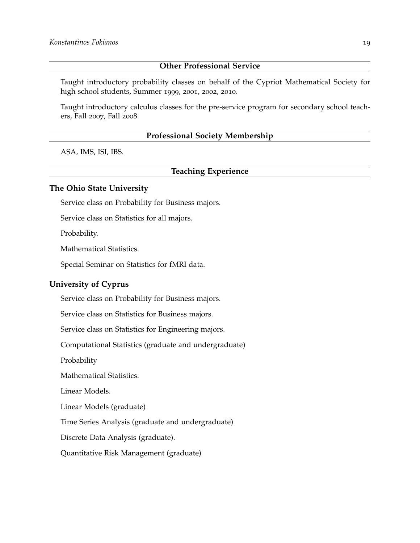# **Other Professional Service**

Taught introductory probability classes on behalf of the Cypriot Mathematical Society for high school students, Summer 1999, 2001, 2002, 2010.

Taught introductory calculus classes for the pre-service program for secondary school teachers, Fall 2007, Fall 2008.

# **Professional Society Membership**

ASA, IMS, ISI, IBS.

# **Teaching Experience**

## **The Ohio State University**

Service class on Probability for Business majors.

Service class on Statistics for all majors.

Probability.

Mathematical Statistics.

Special Seminar on Statistics for fMRI data.

### **University of Cyprus**

Service class on Probability for Business majors.

Service class on Statistics for Business majors.

Service class on Statistics for Engineering majors.

Computational Statistics (graduate and undergraduate)

Probability

Mathematical Statistics.

Linear Models.

Linear Models (graduate)

Time Series Analysis (graduate and undergraduate)

Discrete Data Analysis (graduate).

Quantitative Risk Management (graduate)